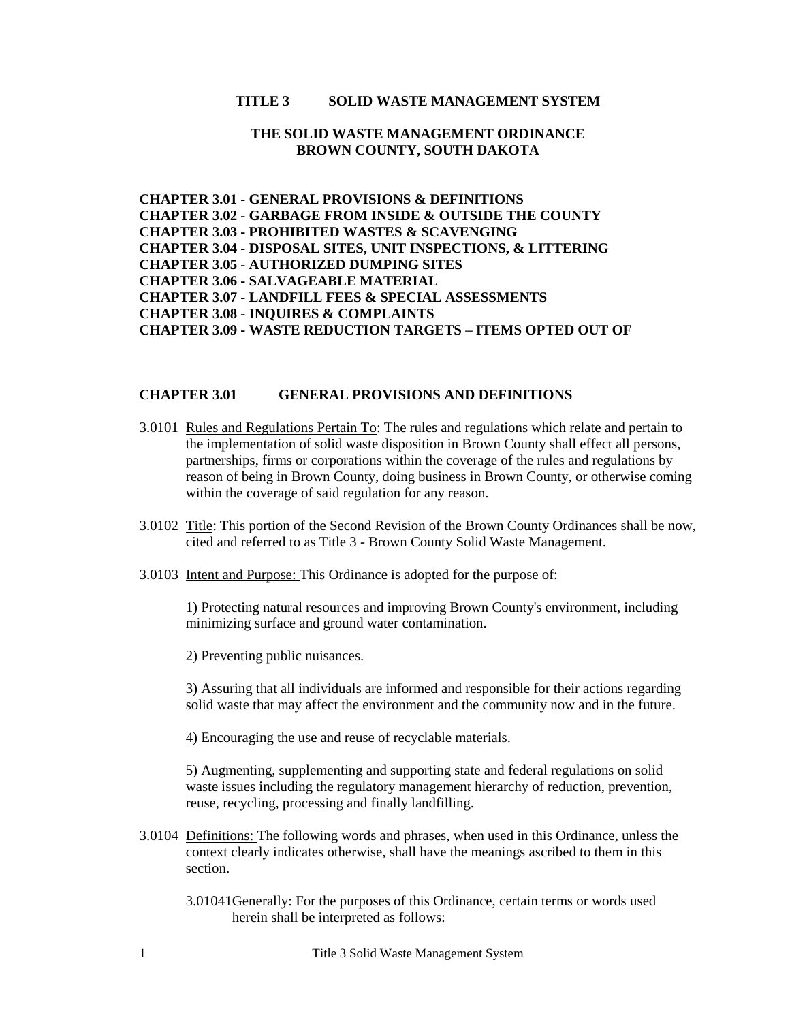## **TITLE 3 SOLID WASTE MANAGEMENT SYSTEM**

## **THE SOLID WASTE MANAGEMENT ORDINANCE BROWN COUNTY, SOUTH DAKOTA**

**CHAPTER 3.01 - GENERAL PROVISIONS & DEFINITIONS CHAPTER 3.02 - [GARBAGE FROM INSIDE & OUTSIDE THE COUNTY](#page-3-0) CHAPTER 3.03 - [PROHIBITED WASTES & SCAVENGING](#page-4-0) CHAPTER 3.04 - [DISPOSAL SITES, UNIT INSPECTIONS, & LITTERING](#page-6-0) CHAPTER 3.05 - [AUTHORIZED DUMPING SITES](#page-7-0) CHAPTER 3.06 - [SALVAGEABLE MATERIAL](#page-8-0) CHAPTER 3.07 - [LANDFILL FEES & SPECIAL ASSESSMENTS](#page-9-0) CHAPTER 3.08 - [INQUIRES & COMPLAINTS](#page-10-0) CHAPTER 3.09 - [WASTE REDUCTION TARGETS –](#page-11-0) ITEMS OPTED OUT OF**

#### **CHAPTER 3.01 GENERAL PROVISIONS AND DEFINITIONS**

- 3.0101 Rules and Regulations Pertain To: The rules and regulations which relate and pertain to the implementation of solid waste disposition in Brown County shall effect all persons, partnerships, firms or corporations within the coverage of the rules and regulations by reason of being in Brown County, doing business in Brown County, or otherwise coming within the coverage of said regulation for any reason.
- 3.0102 Title: This portion of the Second Revision of the Brown County Ordinances shall be now, cited and referred to as Title 3 - Brown County Solid Waste Management.
- 3.0103 Intent and Purpose: This Ordinance is adopted for the purpose of:

1) Protecting natural resources and improving Brown County's environment, including minimizing surface and ground water contamination.

2) Preventing public nuisances.

3) Assuring that all individuals are informed and responsible for their actions regarding solid waste that may affect the environment and the community now and in the future.

4) Encouraging the use and reuse of recyclable materials.

5) Augmenting, supplementing and supporting state and federal regulations on solid waste issues including the regulatory management hierarchy of reduction, prevention, reuse, recycling, processing and finally landfilling.

- 3.0104 Definitions: The following words and phrases, when used in this Ordinance, unless the context clearly indicates otherwise, shall have the meanings ascribed to them in this section.
	- 3.01041Generally: For the purposes of this Ordinance, certain terms or words used herein shall be interpreted as follows: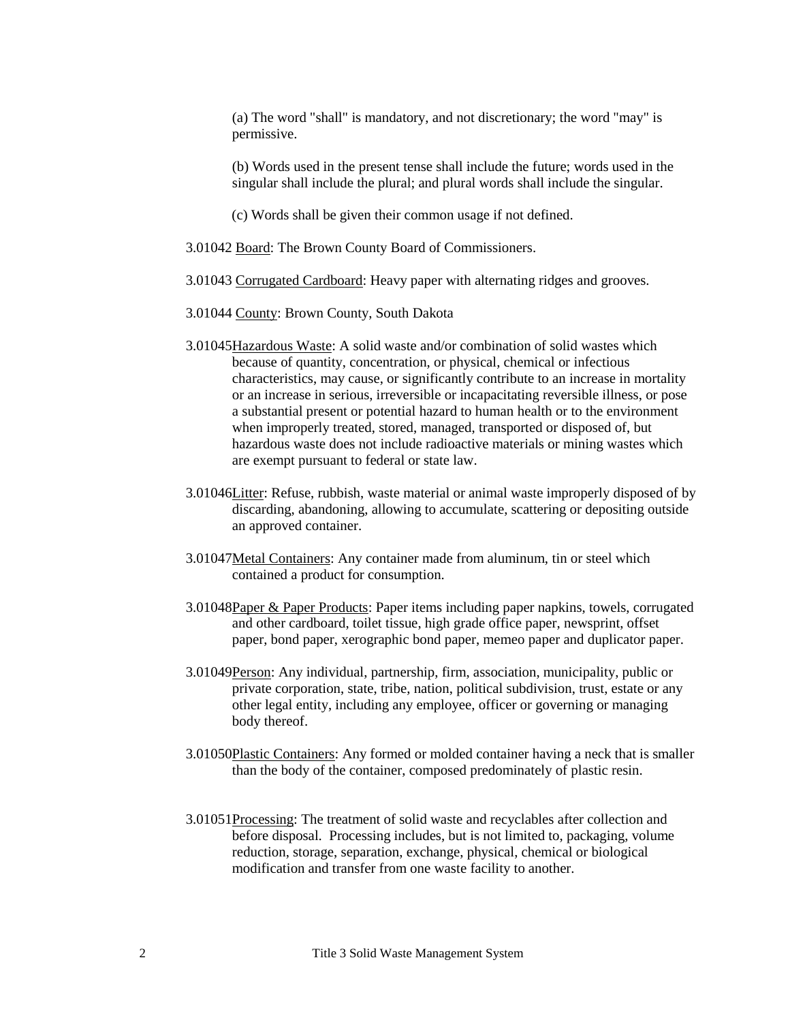(a) The word "shall" is mandatory, and not discretionary; the word "may" is permissive.

(b) Words used in the present tense shall include the future; words used in the singular shall include the plural; and plural words shall include the singular.

(c) Words shall be given their common usage if not defined.

- 3.01042 Board: The Brown County Board of Commissioners.
- 3.01043 Corrugated Cardboard: Heavy paper with alternating ridges and grooves.
- 3.01044 County: Brown County, South Dakota
- 3.01045Hazardous Waste: A solid waste and/or combination of solid wastes which because of quantity, concentration, or physical, chemical or infectious characteristics, may cause, or significantly contribute to an increase in mortality or an increase in serious, irreversible or incapacitating reversible illness, or pose a substantial present or potential hazard to human health or to the environment when improperly treated, stored, managed, transported or disposed of, but hazardous waste does not include radioactive materials or mining wastes which are exempt pursuant to federal or state law.
- 3.01046Litter: Refuse, rubbish, waste material or animal waste improperly disposed of by discarding, abandoning, allowing to accumulate, scattering or depositing outside an approved container.
- 3.01047Metal Containers: Any container made from aluminum, tin or steel which contained a product for consumption.
- 3.01048Paper & Paper Products: Paper items including paper napkins, towels, corrugated and other cardboard, toilet tissue, high grade office paper, newsprint, offset paper, bond paper, xerographic bond paper, memeo paper and duplicator paper.
- 3.01049Person: Any individual, partnership, firm, association, municipality, public or private corporation, state, tribe, nation, political subdivision, trust, estate or any other legal entity, including any employee, officer or governing or managing body thereof.
- 3.01050Plastic Containers: Any formed or molded container having a neck that is smaller than the body of the container, composed predominately of plastic resin.
- 3.01051Processing: The treatment of solid waste and recyclables after collection and before disposal. Processing includes, but is not limited to, packaging, volume reduction, storage, separation, exchange, physical, chemical or biological modification and transfer from one waste facility to another.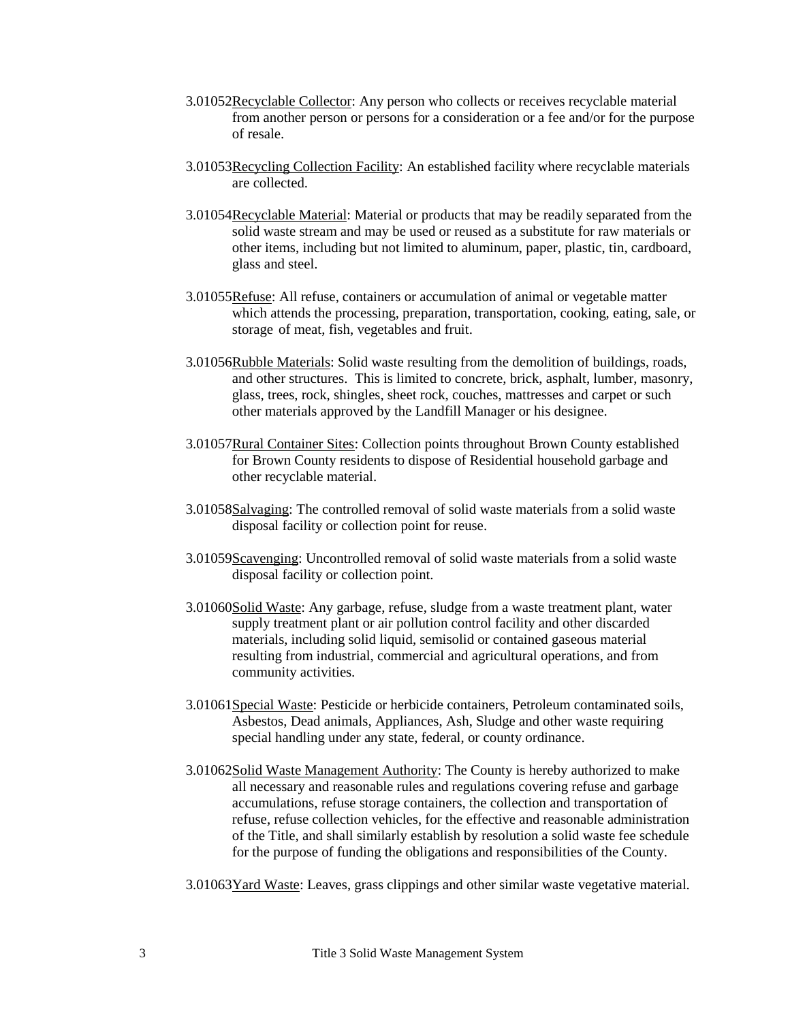- 3.01052Recyclable Collector: Any person who collects or receives recyclable material from another person or persons for a consideration or a fee and/or for the purpose of resale.
- 3.01053Recycling Collection Facility: An established facility where recyclable materials are collected.
- 3.01054Recyclable Material: Material or products that may be readily separated from the solid waste stream and may be used or reused as a substitute for raw materials or other items, including but not limited to aluminum, paper, plastic, tin, cardboard, glass and steel.
- 3.01055Refuse: All refuse, containers or accumulation of animal or vegetable matter which attends the processing, preparation, transportation, cooking, eating, sale, or storage of meat, fish, vegetables and fruit.
- 3.01056Rubble Materials: Solid waste resulting from the demolition of buildings, roads, and other structures. This is limited to concrete, brick, asphalt, lumber, masonry, glass, trees, rock, shingles, sheet rock, couches, mattresses and carpet or such other materials approved by the Landfill Manager or his designee.
- 3.01057Rural Container Sites: Collection points throughout Brown County established for Brown County residents to dispose of Residential household garbage and other recyclable material.
- 3.01058Salvaging: The controlled removal of solid waste materials from a solid waste disposal facility or collection point for reuse.
- 3.01059Scavenging: Uncontrolled removal of solid waste materials from a solid waste disposal facility or collection point.
- 3.01060Solid Waste: Any garbage, refuse, sludge from a waste treatment plant, water supply treatment plant or air pollution control facility and other discarded materials, including solid liquid, semisolid or contained gaseous material resulting from industrial, commercial and agricultural operations, and from community activities.
- 3.01061Special Waste: Pesticide or herbicide containers, Petroleum contaminated soils, Asbestos, Dead animals, Appliances, Ash, Sludge and other waste requiring special handling under any state, federal, or county ordinance.
- 3.01062Solid Waste Management Authority: The County is hereby authorized to make all necessary and reasonable rules and regulations covering refuse and garbage accumulations, refuse storage containers, the collection and transportation of refuse, refuse collection vehicles, for the effective and reasonable administration of the Title, and shall similarly establish by resolution a solid waste fee schedule for the purpose of funding the obligations and responsibilities of the County.
- 3.01063Yard Waste: Leaves, grass clippings and other similar waste vegetative material.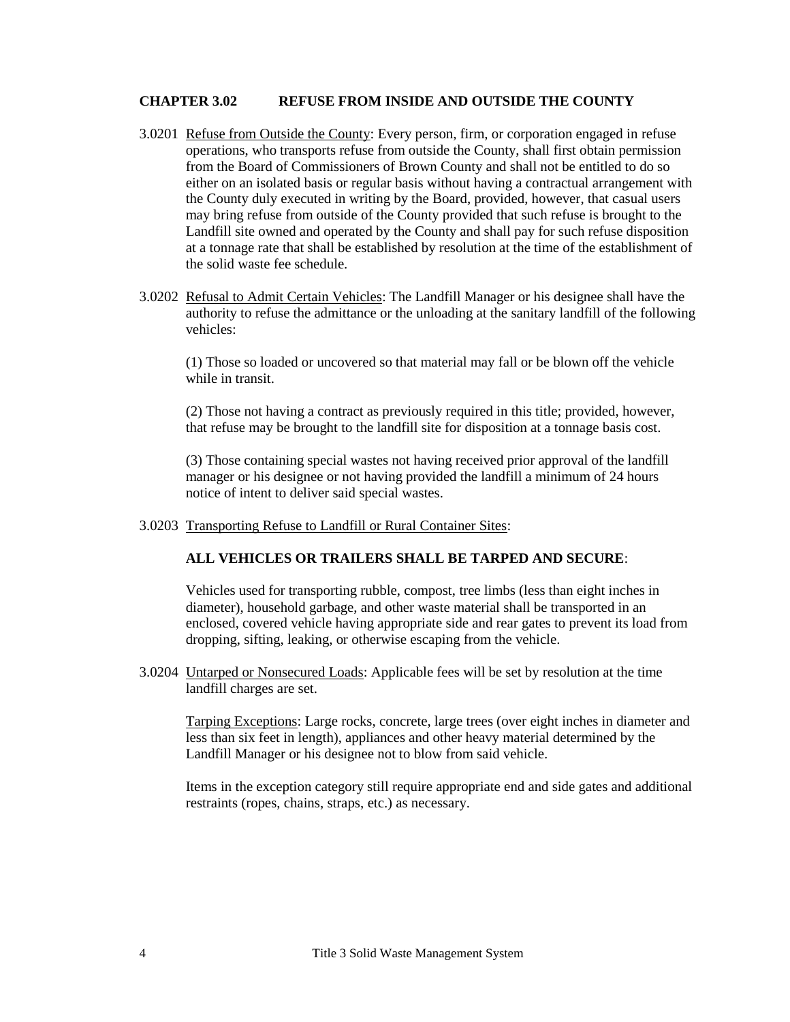## <span id="page-3-0"></span>**CHAPTER 3.02 REFUSE FROM INSIDE AND OUTSIDE THE COUNTY**

- 3.0201 Refuse from Outside the County: Every person, firm, or corporation engaged in refuse operations, who transports refuse from outside the County, shall first obtain permission from the Board of Commissioners of Brown County and shall not be entitled to do so either on an isolated basis or regular basis without having a contractual arrangement with the County duly executed in writing by the Board, provided, however, that casual users may bring refuse from outside of the County provided that such refuse is brought to the Landfill site owned and operated by the County and shall pay for such refuse disposition at a tonnage rate that shall be established by resolution at the time of the establishment of the solid waste fee schedule.
- 3.0202 Refusal to Admit Certain Vehicles: The Landfill Manager or his designee shall have the authority to refuse the admittance or the unloading at the sanitary landfill of the following vehicles:

(1) Those so loaded or uncovered so that material may fall or be blown off the vehicle while in transit.

(2) Those not having a contract as previously required in this title; provided, however, that refuse may be brought to the landfill site for disposition at a tonnage basis cost.

(3) Those containing special wastes not having received prior approval of the landfill manager or his designee or not having provided the landfill a minimum of 24 hours notice of intent to deliver said special wastes.

3.0203 Transporting Refuse to Landfill or Rural Container Sites:

## **ALL VEHICLES OR TRAILERS SHALL BE TARPED AND SECURE**:

Vehicles used for transporting rubble, compost, tree limbs (less than eight inches in diameter), household garbage, and other waste material shall be transported in an enclosed, covered vehicle having appropriate side and rear gates to prevent its load from dropping, sifting, leaking, or otherwise escaping from the vehicle.

3.0204 Untarped or Nonsecured Loads: Applicable fees will be set by resolution at the time landfill charges are set.

Tarping Exceptions: Large rocks, concrete, large trees (over eight inches in diameter and less than six feet in length), appliances and other heavy material determined by the Landfill Manager or his designee not to blow from said vehicle.

Items in the exception category still require appropriate end and side gates and additional restraints (ropes, chains, straps, etc.) as necessary.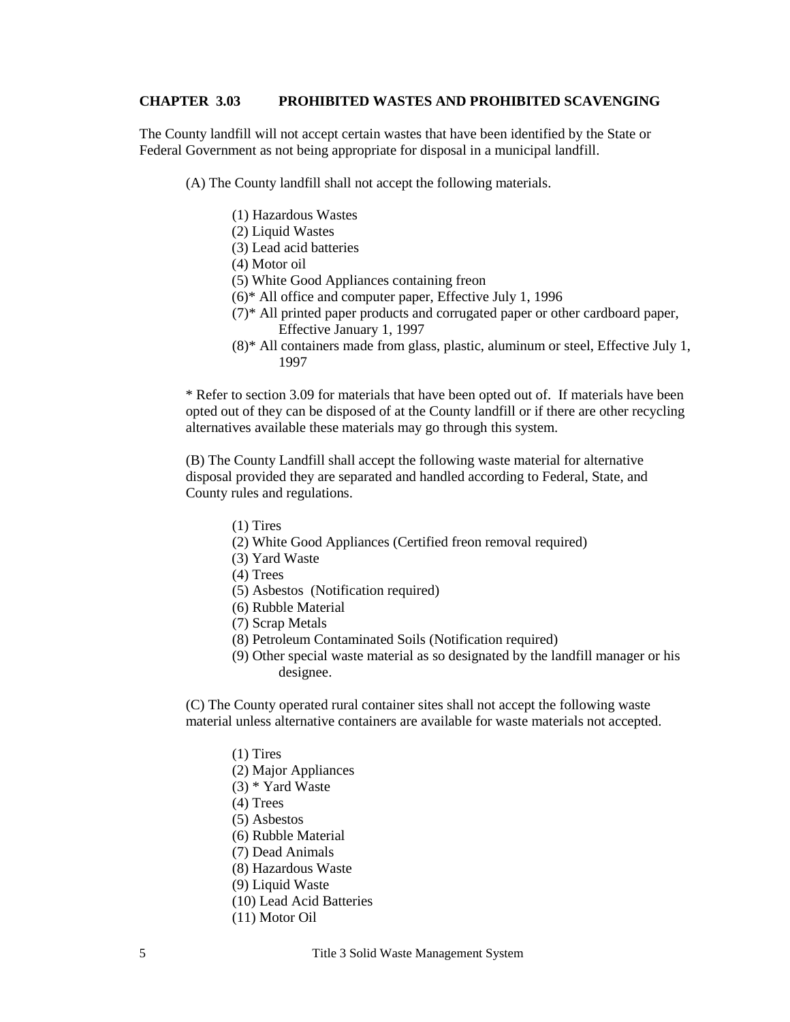## <span id="page-4-0"></span>**CHAPTER 3.03 PROHIBITED WASTES AND PROHIBITED SCAVENGING**

The County landfill will not accept certain wastes that have been identified by the State or Federal Government as not being appropriate for disposal in a municipal landfill.

(A) The County landfill shall not accept the following materials.

- (1) Hazardous Wastes
- (2) Liquid Wastes
- (3) Lead acid batteries
- (4) Motor oil
- (5) White Good Appliances containing freon
- (6)\* All office and computer paper, Effective July 1, 1996
- (7)\* All printed paper products and corrugated paper or other cardboard paper, Effective January 1, 1997
- (8)\* All containers made from glass, plastic, aluminum or steel, Effective July 1, 1997

 \* Refer to section 3.09 for materials that have been opted out of. If materials have been opted out of they can be disposed of at the County landfill or if there are other recycling alternatives available these materials may go through this system.

(B) The County Landfill shall accept the following waste material for alternative disposal provided they are separated and handled according to Federal, State, and County rules and regulations.

- (1) Tires
- (2) White Good Appliances (Certified freon removal required)
- (3) Yard Waste
- (4) Trees
- (5) Asbestos (Notification required)
- (6) Rubble Material
- (7) Scrap Metals
- (8) Petroleum Contaminated Soils (Notification required)
- (9) Other special waste material as so designated by the landfill manager or his designee.

(C) The County operated rural container sites shall not accept the following waste material unless alternative containers are available for waste materials not accepted.

- (1) Tires
- (2) Major Appliances
- (3) \* Yard Waste
- (4) Trees
- (5) Asbestos
- (6) Rubble Material
- (7) Dead Animals
- (8) Hazardous Waste
- (9) Liquid Waste
- (10) Lead Acid Batteries
- (11) Motor Oil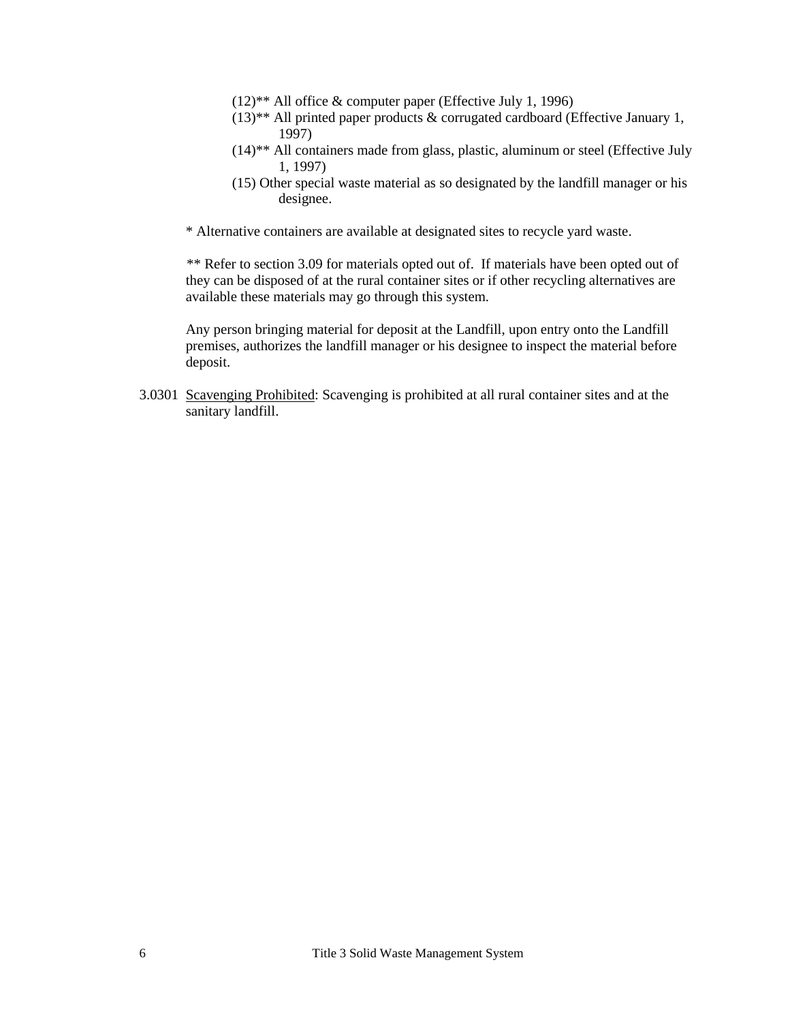- $(12)$ <sup>\*\*</sup> All office & computer paper (Effective July 1, 1996)
- $(13)$ <sup>\*\*</sup> All printed paper products & corrugated cardboard (Effective January 1, 1997)
- (14)\*\* All containers made from glass, plastic, aluminum or steel (Effective July 1, 1997)
- (15) Other special waste material as so designated by the landfill manager or his designee.
- \* Alternative containers are available at designated sites to recycle yard waste.

\*\* Refer to section 3.09 for materials opted out of. If materials have been opted out of they can be disposed of at the rural container sites or if other recycling alternatives are available these materials may go through this system.

Any person bringing material for deposit at the Landfill, upon entry onto the Landfill premises, authorizes the landfill manager or his designee to inspect the material before deposit.

3.0301 Scavenging Prohibited: Scavenging is prohibited at all rural container sites and at the sanitary landfill.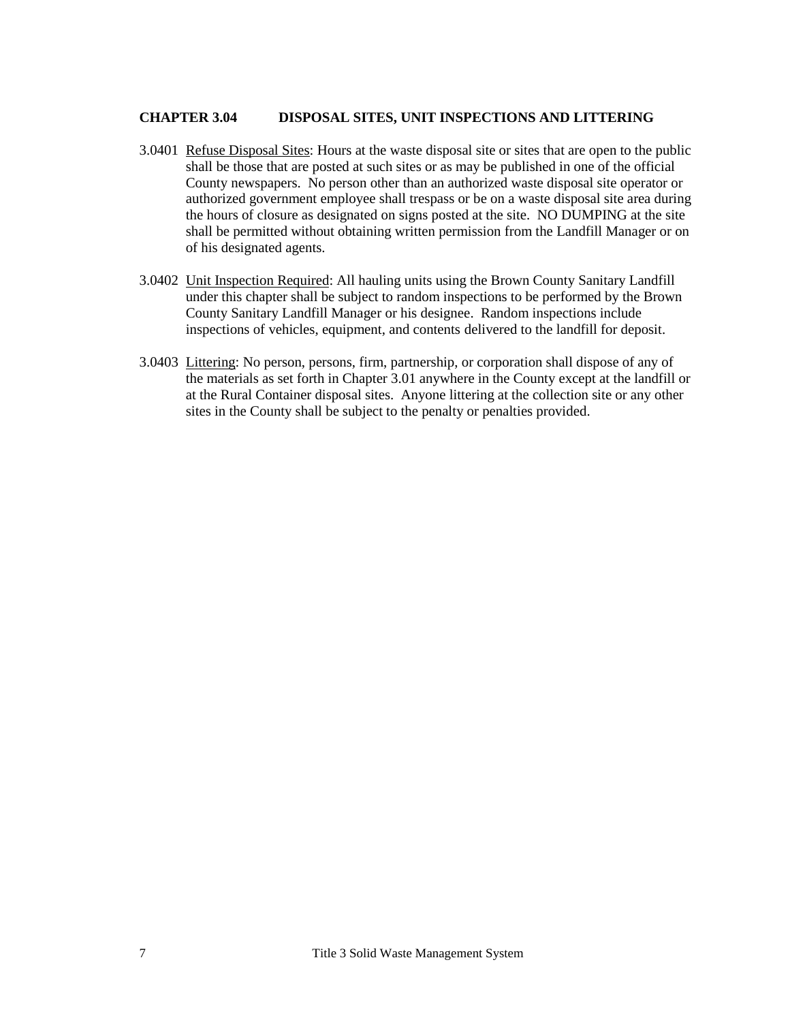## <span id="page-6-0"></span>**CHAPTER 3.04 DISPOSAL SITES, UNIT INSPECTIONS AND LITTERING**

- 3.0401 Refuse Disposal Sites: Hours at the waste disposal site or sites that are open to the public shall be those that are posted at such sites or as may be published in one of the official County newspapers. No person other than an authorized waste disposal site operator or authorized government employee shall trespass or be on a waste disposal site area during the hours of closure as designated on signs posted at the site. NO DUMPING at the site shall be permitted without obtaining written permission from the Landfill Manager or on of his designated agents.
- 3.0402 Unit Inspection Required: All hauling units using the Brown County Sanitary Landfill under this chapter shall be subject to random inspections to be performed by the Brown County Sanitary Landfill Manager or his designee. Random inspections include inspections of vehicles, equipment, and contents delivered to the landfill for deposit.
- 3.0403 Littering: No person, persons, firm, partnership, or corporation shall dispose of any of the materials as set forth in Chapter 3.01 anywhere in the County except at the landfill or at the Rural Container disposal sites. Anyone littering at the collection site or any other sites in the County shall be subject to the penalty or penalties provided.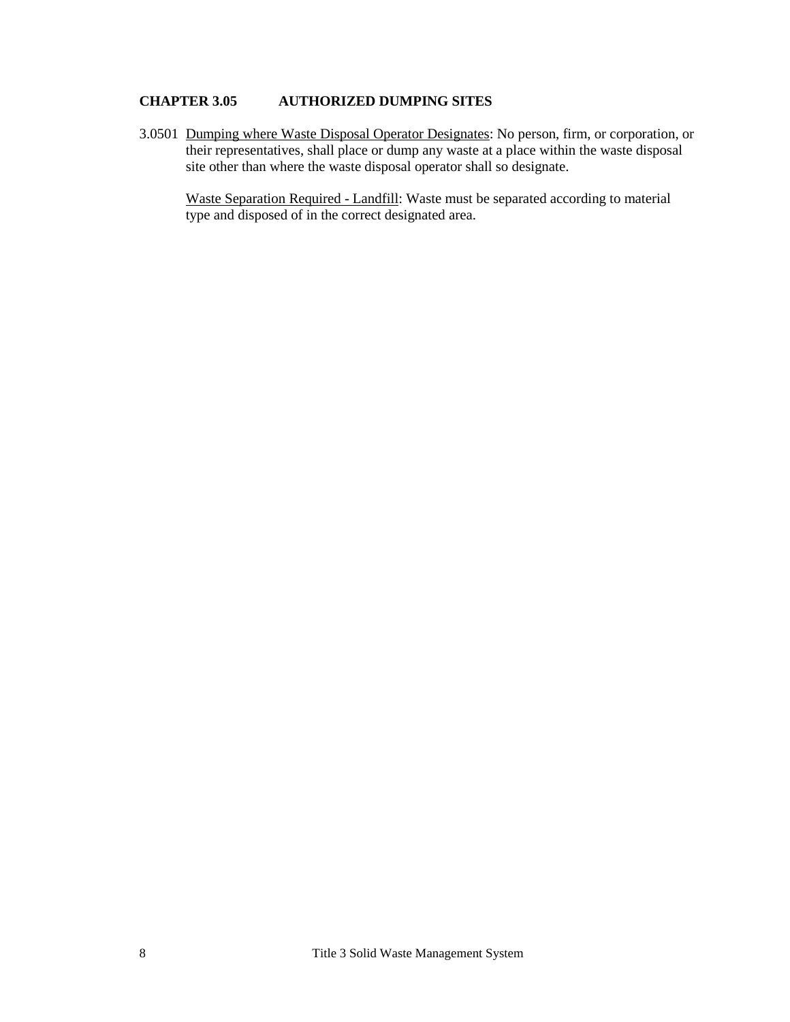# <span id="page-7-0"></span>**CHAPTER 3.05 AUTHORIZED DUMPING SITES**

3.0501 Dumping where Waste Disposal Operator Designates: No person, firm, or corporation, or their representatives, shall place or dump any waste at a place within the waste disposal site other than where the waste disposal operator shall so designate.

Waste Separation Required - Landfill: Waste must be separated according to material type and disposed of in the correct designated area.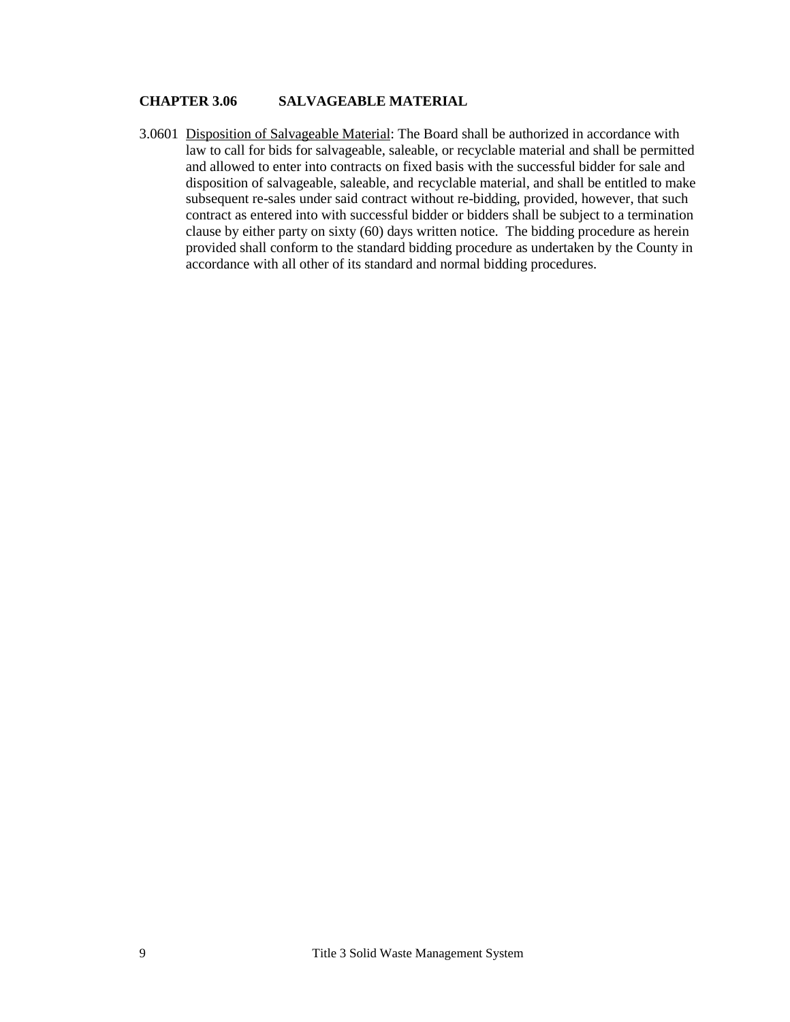## <span id="page-8-0"></span>**CHAPTER 3.06 SALVAGEABLE MATERIAL**

3.0601 Disposition of Salvageable Material: The Board shall be authorized in accordance with law to call for bids for salvageable, saleable, or recyclable material and shall be permitted and allowed to enter into contracts on fixed basis with the successful bidder for sale and disposition of salvageable, saleable, and recyclable material, and shall be entitled to make subsequent re-sales under said contract without re-bidding, provided, however, that such contract as entered into with successful bidder or bidders shall be subject to a termination clause by either party on sixty (60) days written notice. The bidding procedure as herein provided shall conform to the standard bidding procedure as undertaken by the County in accordance with all other of its standard and normal bidding procedures.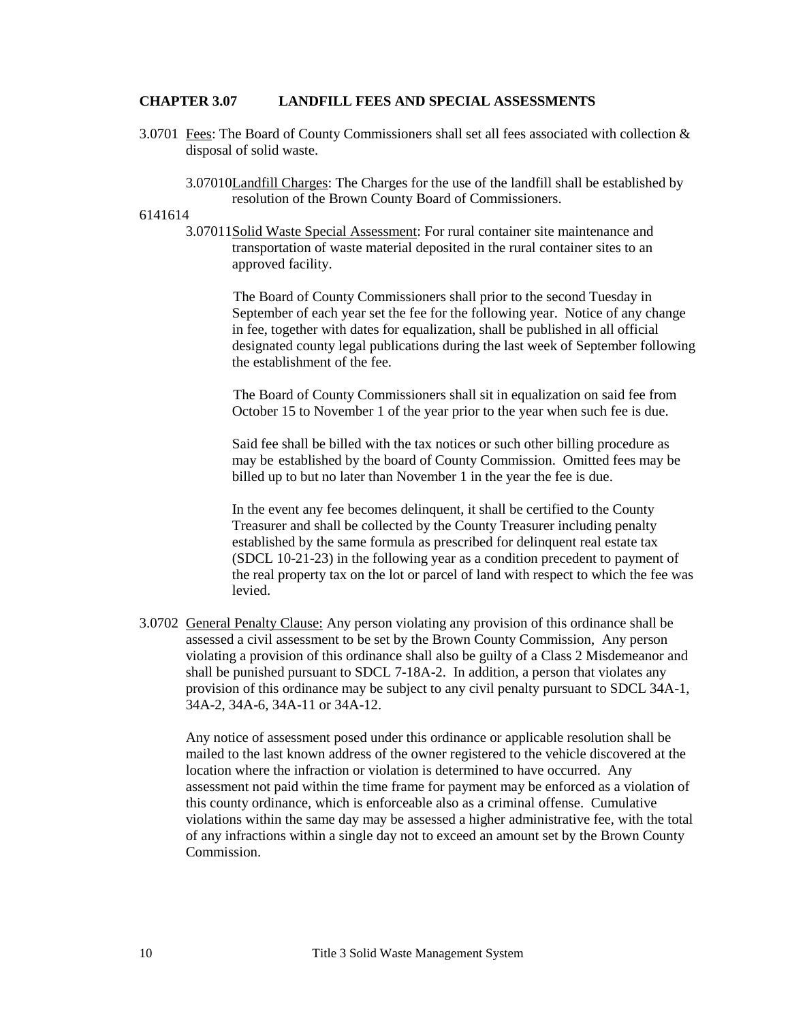#### <span id="page-9-0"></span>**CHAPTER 3.07 LANDFILL FEES AND SPECIAL ASSESSMENTS**

- 3.0701 Fees: The Board of County Commissioners shall set all fees associated with collection & disposal of solid waste.
	- 3.07010Landfill Charges: The Charges for the use of the landfill shall be established by resolution of the Brown County Board of Commissioners.

#### 6141614

3.07011Solid Waste Special Assessment: For rural container site maintenance and transportation of waste material deposited in the rural container sites to an approved facility.

The Board of County Commissioners shall prior to the second Tuesday in September of each year set the fee for the following year. Notice of any change in fee, together with dates for equalization, shall be published in all official designated county legal publications during the last week of September following the establishment of the fee.

The Board of County Commissioners shall sit in equalization on said fee from October 15 to November 1 of the year prior to the year when such fee is due.

Said fee shall be billed with the tax notices or such other billing procedure as may be established by the board of County Commission. Omitted fees may be billed up to but no later than November 1 in the year the fee is due.

In the event any fee becomes delinquent, it shall be certified to the County Treasurer and shall be collected by the County Treasurer including penalty established by the same formula as prescribed for delinquent real estate tax (SDCL 10-21-23) in the following year as a condition precedent to payment of the real property tax on the lot or parcel of land with respect to which the fee was levied.

3.0702 General Penalty Clause: Any person violating any provision of this ordinance shall be assessed a civil assessment to be set by the Brown County Commission, Any person violating a provision of this ordinance shall also be guilty of a Class 2 Misdemeanor and shall be punished pursuant to SDCL 7-18A-2. In addition, a person that violates any provision of this ordinance may be subject to any civil penalty pursuant to SDCL 34A-1, 34A-2, 34A-6, 34A-11 or 34A-12.

Any notice of assessment posed under this ordinance or applicable resolution shall be mailed to the last known address of the owner registered to the vehicle discovered at the location where the infraction or violation is determined to have occurred. Any assessment not paid within the time frame for payment may be enforced as a violation of this county ordinance, which is enforceable also as a criminal offense. Cumulative violations within the same day may be assessed a higher administrative fee, with the total of any infractions within a single day not to exceed an amount set by the Brown County Commission.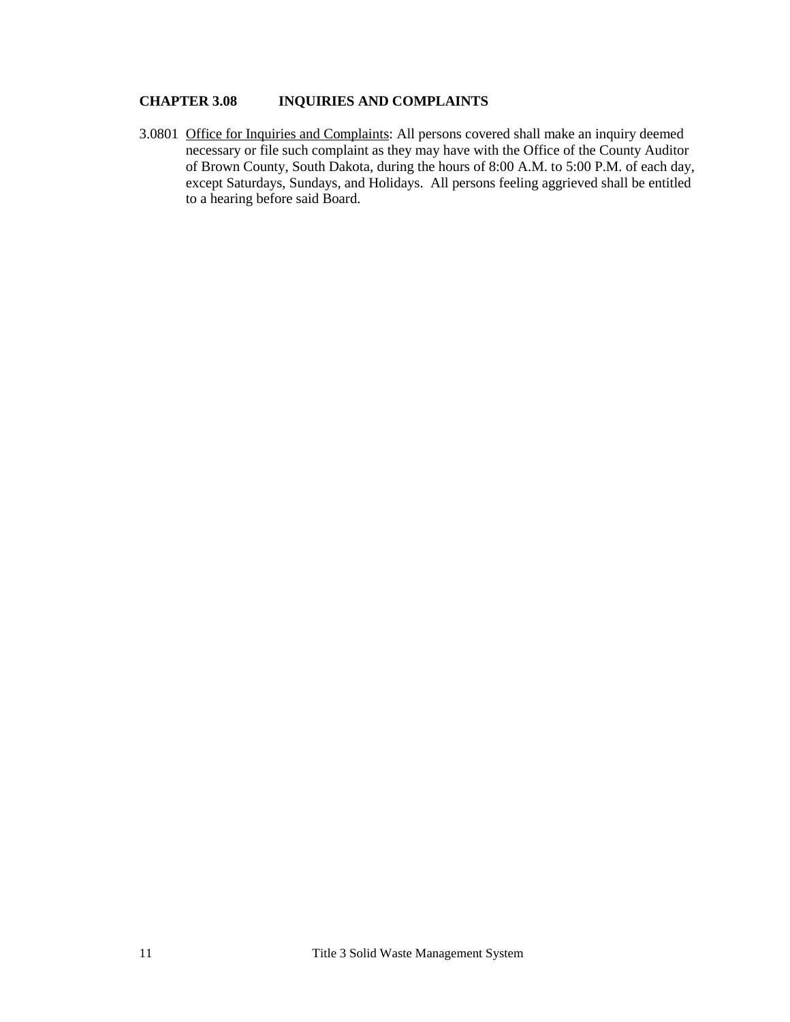# <span id="page-10-0"></span>**CHAPTER 3.08 INQUIRIES AND COMPLAINTS**

3.0801 Office for Inquiries and Complaints: All persons covered shall make an inquiry deemed necessary or file such complaint as they may have with the Office of the County Auditor of Brown County, South Dakota, during the hours of 8:00 A.M. to 5:00 P.M. of each day, except Saturdays, Sundays, and Holidays. All persons feeling aggrieved shall be entitled to a hearing before said Board.